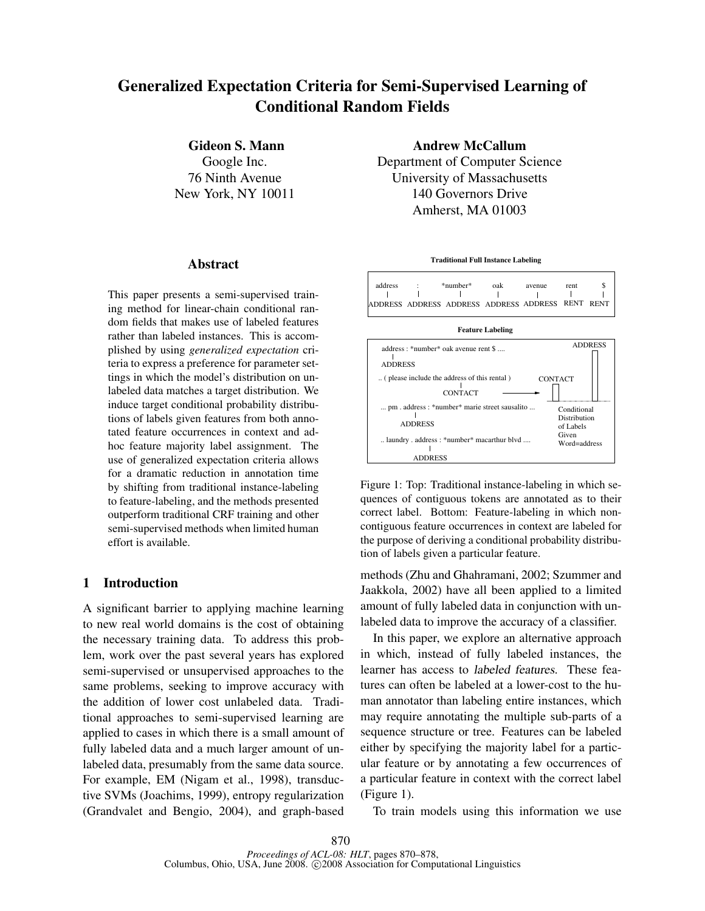# Generalized Expectation Criteria for Semi-Supervised Learning of Conditional Random Fields

Gideon S. Mann

Google Inc. 76 Ninth Avenue New York, NY 10011

#### Abstract

This paper presents a semi-supervised training method for linear-chain conditional random fields that makes use of labeled features rather than labeled instances. This is accomplished by using *generalized expectation* criteria to express a preference for parameter settings in which the model's distribution on unlabeled data matches a target distribution. We induce target conditional probability distributions of labels given features from both annotated feature occurrences in context and adhoc feature majority label assignment. The use of generalized expectation criteria allows for a dramatic reduction in annotation time by shifting from traditional instance-labeling to feature-labeling, and the methods presented outperform traditional CRF training and other semi-supervised methods when limited human effort is available.

## 1 Introduction

A significant barrier to applying machine learning to new real world domains is the cost of obtaining the necessary training data. To address this problem, work over the past several years has explored semi-supervised or unsupervised approaches to the same problems, seeking to improve accuracy with the addition of lower cost unlabeled data. Traditional approaches to semi-supervised learning are applied to cases in which there is a small amount of fully labeled data and a much larger amount of unlabeled data, presumably from the same data source. For example, EM (Nigam et al., 1998), transductive SVMs (Joachims, 1999), entropy regularization (Grandvalet and Bengio, 2004), and graph-based Andrew McCallum

Department of Computer Science University of Massachusetts 140 Governors Drive Amherst, MA 01003

**Traditional Full Instance Labeling**

address : \*number\* oak avenue rent \$  $\mathbf{I}$  $\mathbf{I}$  $\mathbf{I}$ ADDRESS ADDRESS ADDRESS ADDRESS ADDRESS RENT RENT

**Feature Labeling**



Figure 1: Top: Traditional instance-labeling in which sequences of contiguous tokens are annotated as to their correct label. Bottom: Feature-labeling in which noncontiguous feature occurrences in context are labeled for the purpose of deriving a conditional probability distribution of labels given a particular feature.

methods (Zhu and Ghahramani, 2002; Szummer and Jaakkola, 2002) have all been applied to a limited amount of fully labeled data in conjunction with unlabeled data to improve the accuracy of a classifier.

In this paper, we explore an alternative approach in which, instead of fully labeled instances, the learner has access to labeled features. These features can often be labeled at a lower-cost to the human annotator than labeling entire instances, which may require annotating the multiple sub-parts of a sequence structure or tree. Features can be labeled either by specifying the majority label for a particular feature or by annotating a few occurrences of a particular feature in context with the correct label (Figure 1).

To train models using this information we use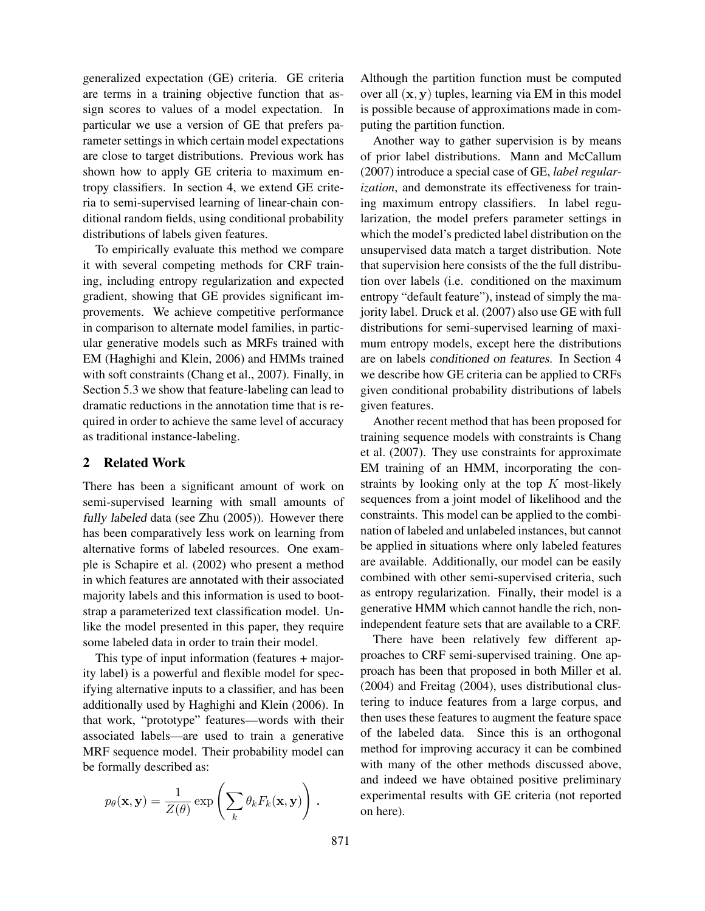generalized expectation (GE) criteria. GE criteria are terms in a training objective function that assign scores to values of a model expectation. In particular we use a version of GE that prefers parameter settings in which certain model expectations are close to target distributions. Previous work has shown how to apply GE criteria to maximum entropy classifiers. In section 4, we extend GE criteria to semi-supervised learning of linear-chain conditional random fields, using conditional probability distributions of labels given features.

To empirically evaluate this method we compare it with several competing methods for CRF training, including entropy regularization and expected gradient, showing that GE provides significant improvements. We achieve competitive performance in comparison to alternate model families, in particular generative models such as MRFs trained with EM (Haghighi and Klein, 2006) and HMMs trained with soft constraints (Chang et al., 2007). Finally, in Section 5.3 we show that feature-labeling can lead to dramatic reductions in the annotation time that is required in order to achieve the same level of accuracy as traditional instance-labeling.

#### 2 Related Work

There has been a significant amount of work on semi-supervised learning with small amounts of fully labeled data (see Zhu (2005)). However there has been comparatively less work on learning from alternative forms of labeled resources. One example is Schapire et al. (2002) who present a method in which features are annotated with their associated majority labels and this information is used to bootstrap a parameterized text classification model. Unlike the model presented in this paper, they require some labeled data in order to train their model.

This type of input information (features + majority label) is a powerful and flexible model for specifying alternative inputs to a classifier, and has been additionally used by Haghighi and Klein (2006). In that work, "prototype" features—words with their associated labels—are used to train a generative MRF sequence model. Their probability model can be formally described as:

$$
p_{\theta}(\mathbf{x}, \mathbf{y}) = \frac{1}{Z(\theta)} \exp \left( \sum_{k} \theta_{k} F_{k}(\mathbf{x}, \mathbf{y}) \right).
$$

Although the partition function must be computed over all  $(x, y)$  tuples, learning via EM in this model is possible because of approximations made in computing the partition function.

Another way to gather supervision is by means of prior label distributions. Mann and McCallum (2007) introduce a special case of GE, *label regularization*, and demonstrate its effectiveness for training maximum entropy classifiers. In label regularization, the model prefers parameter settings in which the model's predicted label distribution on the unsupervised data match a target distribution. Note that supervision here consists of the the full distribution over labels (i.e. conditioned on the maximum entropy "default feature"), instead of simply the majority label. Druck et al. (2007) also use GE with full distributions for semi-supervised learning of maximum entropy models, except here the distributions are on labels conditioned on features. In Section 4 we describe how GE criteria can be applied to CRFs given conditional probability distributions of labels given features.

Another recent method that has been proposed for training sequence models with constraints is Chang et al. (2007). They use constraints for approximate EM training of an HMM, incorporating the constraints by looking only at the top  $K$  most-likely sequences from a joint model of likelihood and the constraints. This model can be applied to the combination of labeled and unlabeled instances, but cannot be applied in situations where only labeled features are available. Additionally, our model can be easily combined with other semi-supervised criteria, such as entropy regularization. Finally, their model is a generative HMM which cannot handle the rich, nonindependent feature sets that are available to a CRF.

There have been relatively few different approaches to CRF semi-supervised training. One approach has been that proposed in both Miller et al. (2004) and Freitag (2004), uses distributional clustering to induce features from a large corpus, and then uses these features to augment the feature space of the labeled data. Since this is an orthogonal method for improving accuracy it can be combined with many of the other methods discussed above, and indeed we have obtained positive preliminary experimental results with GE criteria (not reported on here).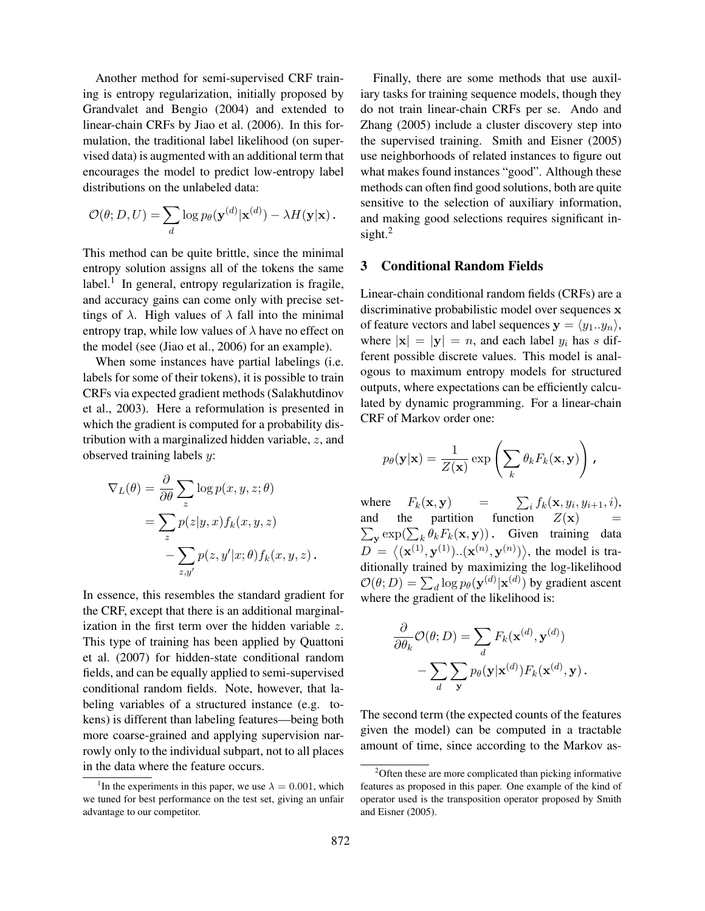Another method for semi-supervised CRF training is entropy regularization, initially proposed by Grandvalet and Bengio (2004) and extended to linear-chain CRFs by Jiao et al. (2006). In this formulation, the traditional label likelihood (on supervised data) is augmented with an additional term that encourages the model to predict low-entropy label distributions on the unlabeled data:

$$
\mathcal{O}(\theta; D, U) = \sum_{d} \log p_{\theta}(\mathbf{y}^{(d)} | \mathbf{x}^{(d)}) - \lambda H(\mathbf{y} | \mathbf{x}).
$$

This method can be quite brittle, since the minimal entropy solution assigns all of the tokens the same label.<sup>1</sup> In general, entropy regularization is fragile, and accuracy gains can come only with precise settings of  $\lambda$ . High values of  $\lambda$  fall into the minimal entropy trap, while low values of  $\lambda$  have no effect on the model (see (Jiao et al., 2006) for an example).

When some instances have partial labelings (i.e. labels for some of their tokens), it is possible to train CRFs via expected gradient methods (Salakhutdinov et al., 2003). Here a reformulation is presented in which the gradient is computed for a probability distribution with a marginalized hidden variable, z, and observed training labels y:

$$
\nabla_L(\theta) = \frac{\partial}{\partial \theta} \sum_z \log p(x, y, z; \theta)
$$

$$
= \sum_z p(z|y, x) f_k(x, y, z)
$$

$$
- \sum_{z, y'} p(z, y'|x; \theta) f_k(x, y, z).
$$

In essence, this resembles the standard gradient for the CRF, except that there is an additional marginalization in the first term over the hidden variable z. This type of training has been applied by Quattoni et al. (2007) for hidden-state conditional random fields, and can be equally applied to semi-supervised conditional random fields. Note, however, that labeling variables of a structured instance (e.g. tokens) is different than labeling features—being both more coarse-grained and applying supervision narrowly only to the individual subpart, not to all places in the data where the feature occurs.

Finally, there are some methods that use auxiliary tasks for training sequence models, though they do not train linear-chain CRFs per se. Ando and Zhang (2005) include a cluster discovery step into the supervised training. Smith and Eisner (2005) use neighborhoods of related instances to figure out what makes found instances "good". Although these methods can often find good solutions, both are quite sensitive to the selection of auxiliary information, and making good selections requires significant insight. $^2$ 

## 3 Conditional Random Fields

Linear-chain conditional random fields (CRFs) are a discriminative probabilistic model over sequences x of feature vectors and label sequences  $y = \langle y_1..y_n \rangle$ , where  $|\mathbf{x}| = |\mathbf{y}| = n$ , and each label  $y_i$  has s different possible discrete values. This model is analogous to maximum entropy models for structured outputs, where expectations can be efficiently calculated by dynamic programming. For a linear-chain CRF of Markov order one:

$$
p_{\theta}(\mathbf{y}|\mathbf{x}) = \frac{1}{Z(\mathbf{x})} \exp\left(\sum_{k} \theta_{k} F_{k}(\mathbf{x}, \mathbf{y})\right),
$$

where  $F_k(\mathbf{x}, \mathbf{y})$  =  $\sum_i f_k(\mathbf{x}, y_i, y_{i+1}, i)$ , and the partition function  $\sum_{\mathbf{y}} \exp(\sum_{k} \theta_k F_k(\mathbf{x}, \mathbf{y}))$ . Given training data  $Z(\mathbf{x})$  $D = \langle (\mathbf{x}^{(1)}, \mathbf{y}^{(1)}) \cdot (\mathbf{x}^{(n)}, \mathbf{y}^{(n)}) \rangle$ , the model is traditionally trained by maximizing the log-likelihood  $\mathcal{O}(\theta;D)=\sum_{d}\log p_{\theta}(\mathbf{y}^{(d)}|\mathbf{x}^{(d)})$  by gradient ascent where the gradient of the likelihood is:

$$
\frac{\partial}{\partial \theta_k} \mathcal{O}(\theta; D) = \sum_d F_k(\mathbf{x}^{(d)}, \mathbf{y}^{(d)}) - \sum_d \sum_{\mathbf{y}} p_{\theta}(\mathbf{y}|\mathbf{x}^{(d)}) F_k(\mathbf{x}^{(d)}, \mathbf{y}).
$$

The second term (the expected counts of the features given the model) can be computed in a tractable amount of time, since according to the Markov as-

<sup>&</sup>lt;sup>1</sup>In the experiments in this paper, we use  $\lambda = 0.001$ , which we tuned for best performance on the test set, giving an unfair advantage to our competitor.

<sup>&</sup>lt;sup>2</sup>Often these are more complicated than picking informative features as proposed in this paper. One example of the kind of operator used is the transposition operator proposed by Smith and Eisner (2005).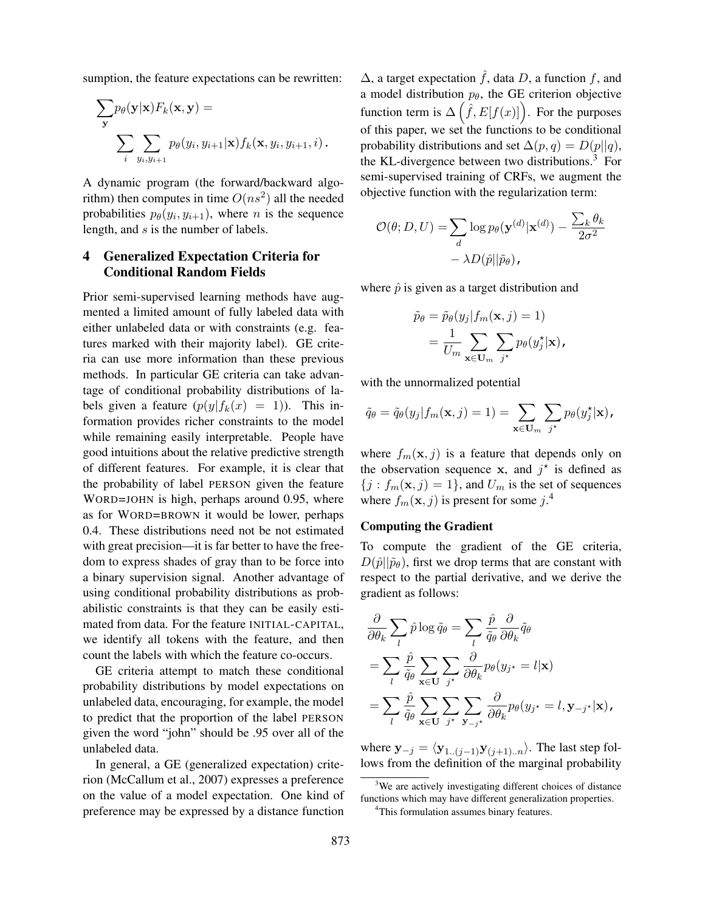sumption, the feature expectations can be rewritten:

$$
\sum_{\mathbf{y}} p_{\theta}(\mathbf{y}|\mathbf{x}) F_k(\mathbf{x}, \mathbf{y}) =
$$

$$
\sum_{i} \sum_{y_i, y_{i+1}} p_{\theta}(y_i, y_{i+1}|\mathbf{x}) f_k(\mathbf{x}, y_i, y_{i+1}, i).
$$

A dynamic program (the forward/backward algorithm) then computes in time  $O(ns^2)$  all the needed probabilities  $p_{\theta}(y_i, y_{i+1})$ , where *n* is the sequence length, and s is the number of labels.

# 4 Generalized Expectation Criteria for Conditional Random Fields

Prior semi-supervised learning methods have augmented a limited amount of fully labeled data with either unlabeled data or with constraints (e.g. features marked with their majority label). GE criteria can use more information than these previous methods. In particular GE criteria can take advantage of conditional probability distributions of labels given a feature  $(p(y|f_k(x) = 1))$ . This information provides richer constraints to the model while remaining easily interpretable. People have good intuitions about the relative predictive strength of different features. For example, it is clear that the probability of label PERSON given the feature WORD=JOHN is high, perhaps around 0.95, where as for WORD=BROWN it would be lower, perhaps 0.4. These distributions need not be not estimated with great precision—it is far better to have the freedom to express shades of gray than to be force into a binary supervision signal. Another advantage of using conditional probability distributions as probabilistic constraints is that they can be easily estimated from data. For the feature INITIAL-CAPITAL, we identify all tokens with the feature, and then count the labels with which the feature co-occurs.

GE criteria attempt to match these conditional probability distributions by model expectations on unlabeled data, encouraging, for example, the model to predict that the proportion of the label PERSON given the word "john" should be .95 over all of the unlabeled data.

In general, a GE (generalized expectation) criterion (McCallum et al., 2007) expresses a preference on the value of a model expectation. One kind of preference may be expressed by a distance function  $\Delta$ , a target expectation  $\hat{f}$ , data D, a function f, and a model distribution  $p_{\theta}$ , the GE criterion objective function term is  $\Delta \left( \hat{f}, E[f(x)] \right)$ . For the purposes of this paper, we set the functions to be conditional probability distributions and set  $\Delta(p,q) = D(p||q)$ , the KL-divergence between two distributions.<sup>3</sup> For semi-supervised training of CRFs, we augment the objective function with the regularization term:

$$
\mathcal{O}(\theta; D, U) = \sum_{d} \log p_{\theta}(\mathbf{y}^{(d)} | \mathbf{x}^{(d)}) - \frac{\sum_{k} \theta_{k}}{2\sigma^{2}} - \lambda D(\hat{p} || \tilde{p}_{\theta}),
$$

where  $\hat{p}$  is given as a target distribution and

$$
\tilde{p}_{\theta} = \tilde{p}_{\theta}(y_j|f_m(\mathbf{x}, j) = 1) \n= \frac{1}{U_m} \sum_{\mathbf{x} \in \mathbf{U}_m} \sum_{j^*} p_{\theta}(y_j^*|\mathbf{x}),
$$

with the unnormalized potential

$$
\tilde{q}_{\theta} = \tilde{q}_{\theta}(y_j|f_m(\mathbf{x}, j) = 1) = \sum_{\mathbf{x} \in \mathbf{U}_m} \sum_{j^*} p_{\theta}(y_j^*|\mathbf{x}),
$$

where  $f_m(\mathbf{x}, j)$  is a feature that depends only on the observation sequence x, and  $j^*$  is defined as  ${j : f_m(\mathbf{x}, j) = 1}$ , and  $U_m$  is the set of sequences where  $f_m(\mathbf{x}, j)$  is present for some  $j$ .<sup>4</sup>

#### Computing the Gradient

To compute the gradient of the GE criteria,  $D(\hat{p}||\tilde{p}_{\theta})$ , first we drop terms that are constant with respect to the partial derivative, and we derive the gradient as follows:

$$
\frac{\partial}{\partial \theta_k} \sum_l \hat{p} \log \tilde{q}_{\theta} = \sum_l \frac{\hat{p}}{\tilde{q}_{\theta}} \frac{\partial}{\partial \theta_k} \tilde{q}_{\theta}
$$
\n
$$
= \sum_l \frac{\hat{p}}{\tilde{q}_{\theta}} \sum_{\mathbf{x} \in \mathbf{U}} \sum_{j^*} \frac{\partial}{\partial \theta_k} p_{\theta}(y_{j^*} = l | \mathbf{x})
$$
\n
$$
= \sum_l \frac{\hat{p}}{\tilde{q}_{\theta}} \sum_{\mathbf{x} \in \mathbf{U}} \sum_{j^*} \sum_{\mathbf{y}_{-j^*}} \frac{\partial}{\partial \theta_k} p_{\theta}(y_{j^*} = l, \mathbf{y}_{-j^*} | \mathbf{x}),
$$

where  $\mathbf{y}_{-j} = \langle \mathbf{y}_{1..(j-1)}\mathbf{y}_{(j+1)..n} \rangle$ . The last step follows from the definition of the marginal probability

<sup>&</sup>lt;sup>3</sup>We are actively investigating different choices of distance functions which may have different generalization properties.

<sup>&</sup>lt;sup>4</sup>This formulation assumes binary features.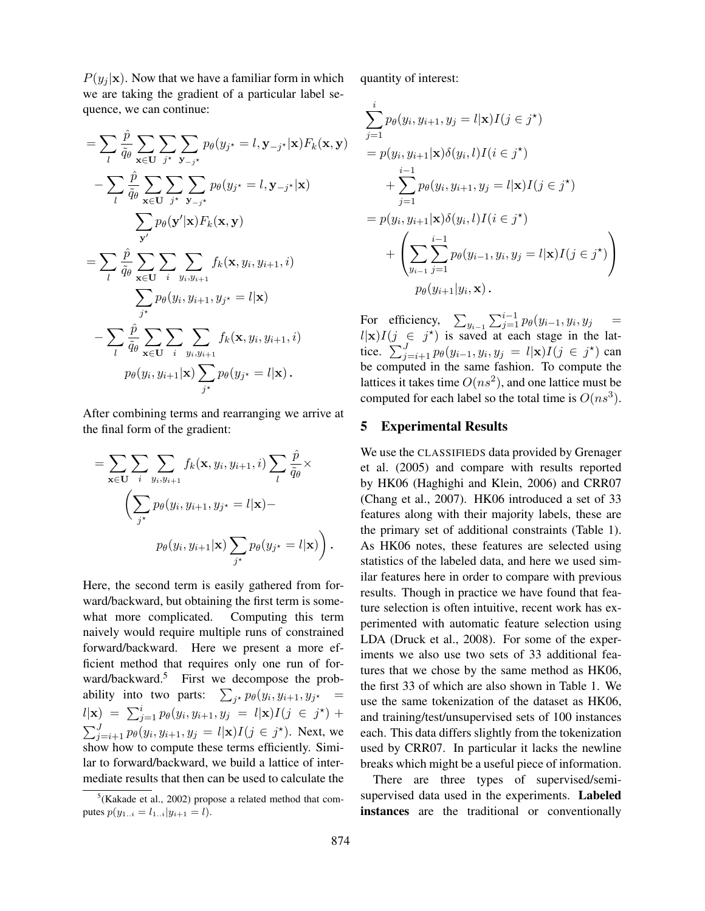$P(y_j | \mathbf{x})$ . Now that we have a familiar form in which we are taking the gradient of a particular label sequence, we can continue:

$$
= \sum_{l} \frac{\hat{p}}{q_{\theta}} \sum_{\mathbf{x} \in \mathbf{U}} \sum_{j^{*}} \sum_{\mathbf{y}_{-j^{*}}} p_{\theta}(y_{j^{*}} = l, \mathbf{y}_{-j^{*}} | \mathbf{x}) F_{k}(\mathbf{x}, \mathbf{y})
$$

$$
- \sum_{l} \frac{\hat{p}}{\tilde{q}_{\theta}} \sum_{\mathbf{x} \in \mathbf{U}} \sum_{j^{*}} \sum_{\mathbf{y}_{-j^{*}}} p_{\theta}(y_{j^{*}} = l, \mathbf{y}_{-j^{*}} | \mathbf{x})
$$

$$
\sum_{\mathbf{y}'} p_{\theta}(\mathbf{y}' | \mathbf{x}) F_{k}(\mathbf{x}, \mathbf{y})
$$

$$
= \sum_{l} \frac{\hat{p}}{\tilde{q}_{\theta}} \sum_{\mathbf{x} \in \mathbf{U}} \sum_{i} \sum_{y_{i}, y_{i+1}} f_{k}(\mathbf{x}, y_{i}, y_{i+1}, i)
$$

$$
\sum_{j^{*}} p_{\theta}(y_{i}, y_{i+1}, y_{j^{*}} = l | \mathbf{x})
$$

$$
- \sum_{l} \frac{\hat{p}}{\tilde{q}_{\theta}} \sum_{\mathbf{x} \in \mathbf{U}} \sum_{i} \sum_{y_{i}, y_{i+1}} f_{k}(\mathbf{x}, y_{i}, y_{i+1}, i)
$$

$$
p_{\theta}(y_{i}, y_{i+1} | \mathbf{x}) \sum_{j^{*}} p_{\theta}(y_{j^{*}} = l | \mathbf{x}).
$$

After combining terms and rearranging we arrive at the final form of the gradient:

$$
= \sum_{\mathbf{x}\in\mathbf{U}} \sum_{i} \sum_{y_i, y_{i+1}} f_k(\mathbf{x}, y_i, y_{i+1}, i) \sum_{l} \frac{\hat{p}}{\tilde{q}_{\theta}} \times \\ \left( \sum_{j^*} p_{\theta}(y_i, y_{i+1}, y_{j^*} = l | \mathbf{x}) - \\ p_{\theta}(y_i, y_{i+1} | \mathbf{x}) \sum_{j^*} p_{\theta}(y_{j^*} = l | \mathbf{x}) \right).
$$

Here, the second term is easily gathered from forward/backward, but obtaining the first term is somewhat more complicated. Computing this term naively would require multiple runs of constrained forward/backward. Here we present a more efficient method that requires only one run of forward/backward.<sup>5</sup> First we decompose the probability into two parts:  $\sum_{j^*} p_{\theta}(y_i, y_{i+1}, y_{j^*}) =$  $l|\mathbf{x}) = \sum_{j=1}^{i} p_{\theta}(y_i, y_{i+1}, y_j = l|\mathbf{x}) I(j \in j^*) +$  $\sum_{j=i+1}^{J} p_{\theta}(y_i, y_{i+1}, y_j = l | \mathbf{x}) I(j \in j^{\star}).$  Next, we show how to compute these terms efficiently. Similar to forward/backward, we build a lattice of intermediate results that then can be used to calculate the quantity of interest:

$$
\sum_{j=1}^{i} p_{\theta}(y_i, y_{i+1}, y_j = l | \mathbf{x}) I(j \in j^*)
$$
\n
$$
= p(y_i, y_{i+1} | \mathbf{x}) \delta(y_i, l) I(i \in j^*)
$$
\n
$$
+ \sum_{j=1}^{i-1} p_{\theta}(y_i, y_{i+1}, y_j = l | \mathbf{x}) I(j \in j^*)
$$
\n
$$
= p(y_i, y_{i+1} | \mathbf{x}) \delta(y_i, l) I(i \in j^*)
$$
\n
$$
+ \left( \sum_{y_{i-1}} \sum_{j=1}^{i-1} p_{\theta}(y_{i-1}, y_i, y_j = l | \mathbf{x}) I(j \in j^*) \right)
$$
\n
$$
p_{\theta}(y_{i+1} | y_i, \mathbf{x}).
$$

For efficiency,  $\sum_{y_{i-1}} \sum_{j=1}^{i-1} p_{\theta}(y_{i-1}, y_i, y_j)$  =  $l|x|I(j \in j^*)$  is saved at each stage in the lattice.  $\sum_{j=i+1}^{J} p_{\theta}(y_{i-1}, y_i, y_j = l | \mathbf{x}) I(j \in j^{\star})$  can be computed in the same fashion. To compute the lattices it takes time  $O(ns^2)$ , and one lattice must be computed for each label so the total time is  $O(ns^3)$ .

#### 5 Experimental Results

We use the CLASSIFIEDS data provided by Grenager et al. (2005) and compare with results reported by HK06 (Haghighi and Klein, 2006) and CRR07 (Chang et al., 2007). HK06 introduced a set of 33 features along with their majority labels, these are the primary set of additional constraints (Table 1). As HK06 notes, these features are selected using statistics of the labeled data, and here we used similar features here in order to compare with previous results. Though in practice we have found that feature selection is often intuitive, recent work has experimented with automatic feature selection using LDA (Druck et al., 2008). For some of the experiments we also use two sets of 33 additional features that we chose by the same method as HK06, the first 33 of which are also shown in Table 1. We use the same tokenization of the dataset as HK06, and training/test/unsupervised sets of 100 instances each. This data differs slightly from the tokenization used by CRR07. In particular it lacks the newline breaks which might be a useful piece of information.

There are three types of supervised/semisupervised data used in the experiments. Labeled instances are the traditional or conventionally

 $5$ (Kakade et al., 2002) propose a related method that computes  $p(y_{1..i} = l_{1..i} | y_{i+1} = l)$ .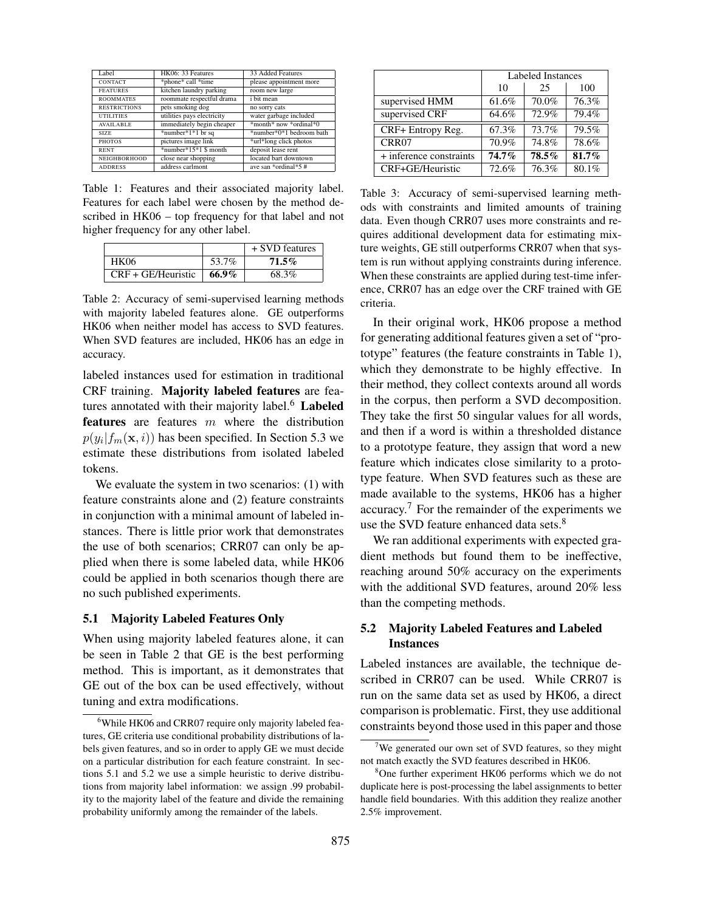| Label               | HK06: 33 Features           | 33 Added Features        |  |
|---------------------|-----------------------------|--------------------------|--|
| <b>CONTACT</b>      | *phone* call *time          | please appointment more  |  |
| <b>FEATURES</b>     | kitchen laundry parking     | room new large           |  |
| <b>ROOMMATES</b>    | roommate respectful drama   | i bit mean               |  |
| <b>RESTRICTIONS</b> | pets smoking dog            | no sorry cats            |  |
| <b>UTILITIES</b>    | utilities pays electricity  | water garbage included   |  |
| <b>AVAILABLE</b>    | immediately begin cheaper   | *month* now *ordinal*0   |  |
| SIZE                | *number* $1*1$ br sq        | *number*0*1 bedroom bath |  |
| <b>PHOTOS</b>       | pictures image link         | *url*long click photos   |  |
| <b>RENT</b>         | $*$ number $*15*1$ \$ month | deposit lease rent       |  |
| NEIGHBORHOOD        | close near shopping         | located bart downtown    |  |
| <b>ADDRESS</b>      | address carlmont            | ave san *ordinal*5 $#$   |  |

Table 1: Features and their associated majority label. Features for each label were chosen by the method described in HK06 – top frequency for that label and not higher frequency for any other label.

|                      |       | + SVD features |
|----------------------|-------|----------------|
| <b>HK06</b>          | 53.7% | $71.5\%$       |
| $CRF + GE/Heuristic$ | 66.9% | 68.3%          |

Table 2: Accuracy of semi-supervised learning methods with majority labeled features alone. GE outperforms HK06 when neither model has access to SVD features. When SVD features are included, HK06 has an edge in accuracy.

labeled instances used for estimation in traditional CRF training. Majority labeled features are features annotated with their majority label. $6$  Labeled features are features  $m$  where the distribution  $p(y_i|f_m(\mathbf{x}, i))$  has been specified. In Section 5.3 we estimate these distributions from isolated labeled tokens.

We evaluate the system in two scenarios: (1) with feature constraints alone and (2) feature constraints in conjunction with a minimal amount of labeled instances. There is little prior work that demonstrates the use of both scenarios; CRR07 can only be applied when there is some labeled data, while HK06 could be applied in both scenarios though there are no such published experiments.

#### 5.1 Majority Labeled Features Only

When using majority labeled features alone, it can be seen in Table 2 that GE is the best performing method. This is important, as it demonstrates that GE out of the box can be used effectively, without tuning and extra modifications.

|                         | Labeled Instances |       |       |
|-------------------------|-------------------|-------|-------|
|                         | 10                | 25    | 100   |
| supervised HMM          | 61.6%             | 70.0% | 76.3% |
| supervised CRF          | 64.6%             | 72.9% | 79.4% |
| CRF+ Entropy Reg.       | 67.3%             | 73.7% | 79.5% |
| CRR07                   | 70.9%             | 74.8% | 78.6% |
| + inference constraints | 74.7%             | 78.5% | 81.7% |
| CRF+GE/Heuristic        | 72.6%             | 76.3% | 80.1% |

Table 3: Accuracy of semi-supervised learning methods with constraints and limited amounts of training data. Even though CRR07 uses more constraints and requires additional development data for estimating mixture weights, GE still outperforms CRR07 when that system is run without applying constraints during inference. When these constraints are applied during test-time inference, CRR07 has an edge over the CRF trained with GE criteria.

In their original work, HK06 propose a method for generating additional features given a set of "prototype" features (the feature constraints in Table 1), which they demonstrate to be highly effective. In their method, they collect contexts around all words in the corpus, then perform a SVD decomposition. They take the first 50 singular values for all words, and then if a word is within a thresholded distance to a prototype feature, they assign that word a new feature which indicates close similarity to a prototype feature. When SVD features such as these are made available to the systems, HK06 has a higher accuracy.<sup>7</sup> For the remainder of the experiments we use the SVD feature enhanced data sets.<sup>8</sup>

We ran additional experiments with expected gradient methods but found them to be ineffective, reaching around 50% accuracy on the experiments with the additional SVD features, around 20% less than the competing methods.

## 5.2 Majority Labeled Features and Labeled Instances

Labeled instances are available, the technique described in CRR07 can be used. While CRR07 is run on the same data set as used by HK06, a direct comparison is problematic. First, they use additional constraints beyond those used in this paper and those

<sup>&</sup>lt;sup>6</sup>While HK06 and CRR07 require only majority labeled features, GE criteria use conditional probability distributions of labels given features, and so in order to apply GE we must decide on a particular distribution for each feature constraint. In sections 5.1 and 5.2 we use a simple heuristic to derive distributions from majority label information: we assign .99 probability to the majority label of the feature and divide the remaining probability uniformly among the remainder of the labels.

We generated our own set of SVD features, so they might not match exactly the SVD features described in HK06.

<sup>&</sup>lt;sup>8</sup>One further experiment HK06 performs which we do not duplicate here is post-processing the label assignments to better handle field boundaries. With this addition they realize another 2.5% improvement.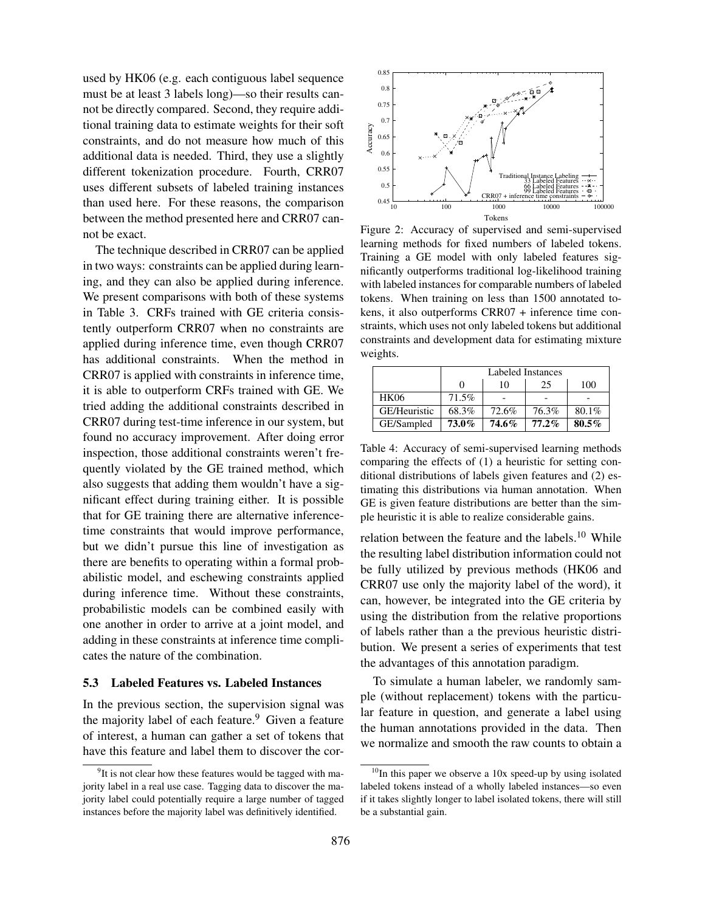used by HK06 (e.g. each contiguous label sequence must be at least 3 labels long)—so their results cannot be directly compared. Second, they require additional training data to estimate weights for their soft constraints, and do not measure how much of this additional data is needed. Third, they use a slightly different tokenization procedure. Fourth, CRR07 uses different subsets of labeled training instances than used here. For these reasons, the comparison between the method presented here and CRR07 cannot be exact.

The technique described in CRR07 can be applied in two ways: constraints can be applied during learning, and they can also be applied during inference. We present comparisons with both of these systems in Table 3. CRFs trained with GE criteria consistently outperform CRR07 when no constraints are applied during inference time, even though CRR07 has additional constraints. When the method in CRR07 is applied with constraints in inference time, it is able to outperform CRFs trained with GE. We tried adding the additional constraints described in CRR07 during test-time inference in our system, but found no accuracy improvement. After doing error inspection, those additional constraints weren't frequently violated by the GE trained method, which also suggests that adding them wouldn't have a significant effect during training either. It is possible that for GE training there are alternative inferencetime constraints that would improve performance, but we didn't pursue this line of investigation as there are benefits to operating within a formal probabilistic model, and eschewing constraints applied during inference time. Without these constraints, probabilistic models can be combined easily with one another in order to arrive at a joint model, and adding in these constraints at inference time complicates the nature of the combination.

#### 5.3 Labeled Features vs. Labeled Instances

In the previous section, the supervision signal was the majority label of each feature. $9$  Given a feature of interest, a human can gather a set of tokens that have this feature and label them to discover the cor-



Figure 2: Accuracy of supervised and semi-supervised learning methods for fixed numbers of labeled tokens. Training a GE model with only labeled features significantly outperforms traditional log-likelihood training with labeled instances for comparable numbers of labeled tokens. When training on less than 1500 annotated tokens, it also outperforms CRR07 + inference time constraints, which uses not only labeled tokens but additional constraints and development data for estimating mixture weights.

|              | Labeled Instances |       |          |          |
|--------------|-------------------|-------|----------|----------|
|              |                   | 10    | 25       | 100      |
| <b>HK06</b>  | 71.5%             |       |          |          |
| GE/Heuristic | 68.3%             | 72.6% | 76.3%    | 80.1%    |
| GE/Sampled   | 73.0%             | 74.6% | $77.2\%$ | $80.5\%$ |

Table 4: Accuracy of semi-supervised learning methods comparing the effects of (1) a heuristic for setting conditional distributions of labels given features and (2) estimating this distributions via human annotation. When GE is given feature distributions are better than the simple heuristic it is able to realize considerable gains.

relation between the feature and the labels.<sup>10</sup> While the resulting label distribution information could not be fully utilized by previous methods (HK06 and CRR07 use only the majority label of the word), it can, however, be integrated into the GE criteria by using the distribution from the relative proportions of labels rather than a the previous heuristic distribution. We present a series of experiments that test the advantages of this annotation paradigm.

To simulate a human labeler, we randomly sample (without replacement) tokens with the particular feature in question, and generate a label using the human annotations provided in the data. Then we normalize and smooth the raw counts to obtain a

<sup>&</sup>lt;sup>9</sup>It is not clear how these features would be tagged with majority label in a real use case. Tagging data to discover the majority label could potentially require a large number of tagged instances before the majority label was definitively identified.

 $10$ In this paper we observe a 10x speed-up by using isolated labeled tokens instead of a wholly labeled instances—so even if it takes slightly longer to label isolated tokens, there will still be a substantial gain.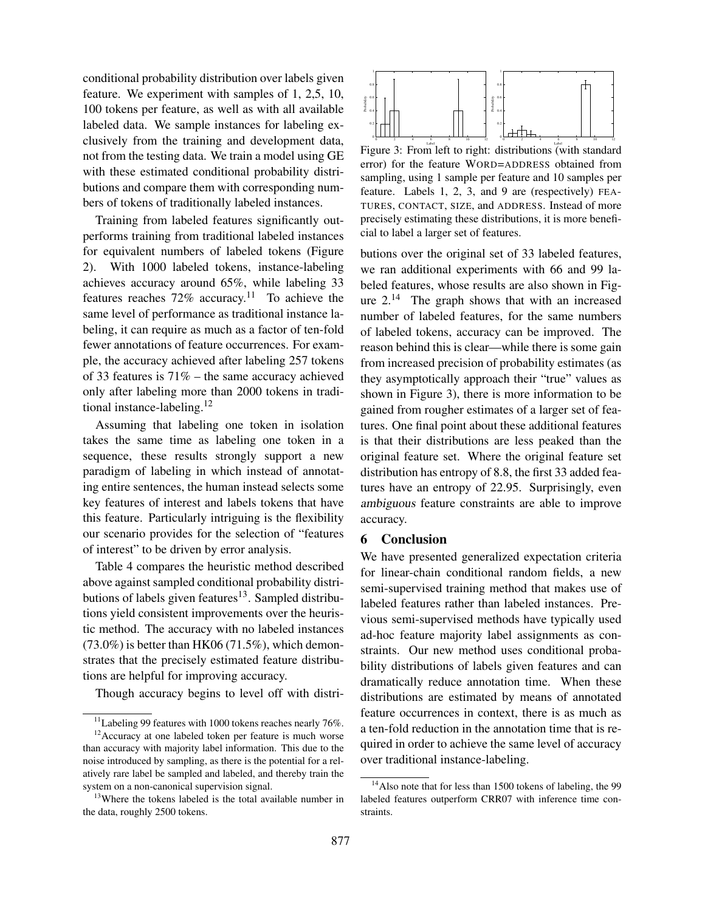conditional probability distribution over labels given feature. We experiment with samples of 1, 2,5, 10, 100 tokens per feature, as well as with all available labeled data. We sample instances for labeling exclusively from the training and development data, not from the testing data. We train a model using GE with these estimated conditional probability distributions and compare them with corresponding numbers of tokens of traditionally labeled instances.

Training from labeled features significantly outperforms training from traditional labeled instances for equivalent numbers of labeled tokens (Figure 2). With 1000 labeled tokens, instance-labeling achieves accuracy around 65%, while labeling 33 features reaches  $72\%$  accuracy.<sup>11</sup> To achieve the same level of performance as traditional instance labeling, it can require as much as a factor of ten-fold fewer annotations of feature occurrences. For example, the accuracy achieved after labeling 257 tokens of 33 features is 71% – the same accuracy achieved only after labeling more than 2000 tokens in traditional instance-labeling.<sup>12</sup>

Assuming that labeling one token in isolation takes the same time as labeling one token in a sequence, these results strongly support a new paradigm of labeling in which instead of annotating entire sentences, the human instead selects some key features of interest and labels tokens that have this feature. Particularly intriguing is the flexibility our scenario provides for the selection of "features of interest" to be driven by error analysis.

Table 4 compares the heuristic method described above against sampled conditional probability distributions of labels given features<sup>13</sup>. Sampled distributions yield consistent improvements over the heuristic method. The accuracy with no labeled instances  $(73.0\%)$  is better than HK06 (71.5%), which demonstrates that the precisely estimated feature distributions are helpful for improving accuracy.

Though accuracy begins to level off with distri-



Figure 3: From left to right: distributions (with standard error) for the feature WORD=ADDRESS obtained from sampling, using 1 sample per feature and 10 samples per feature. Labels 1, 2, 3, and 9 are (respectively) FEA-TURES, CONTACT, SIZE, and ADDRESS. Instead of more precisely estimating these distributions, it is more beneficial to label a larger set of features.

butions over the original set of 33 labeled features, we ran additional experiments with 66 and 99 labeled features, whose results are also shown in Figure  $2^{14}$  The graph shows that with an increased number of labeled features, for the same numbers of labeled tokens, accuracy can be improved. The reason behind this is clear—while there is some gain from increased precision of probability estimates (as they asymptotically approach their "true" values as shown in Figure 3), there is more information to be gained from rougher estimates of a larger set of features. One final point about these additional features is that their distributions are less peaked than the original feature set. Where the original feature set distribution has entropy of 8.8, the first 33 added features have an entropy of 22.95. Surprisingly, even ambiguous feature constraints are able to improve accuracy.

#### 6 Conclusion

We have presented generalized expectation criteria for linear-chain conditional random fields, a new semi-supervised training method that makes use of labeled features rather than labeled instances. Previous semi-supervised methods have typically used ad-hoc feature majority label assignments as constraints. Our new method uses conditional probability distributions of labels given features and can dramatically reduce annotation time. When these distributions are estimated by means of annotated feature occurrences in context, there is as much as a ten-fold reduction in the annotation time that is required in order to achieve the same level of accuracy over traditional instance-labeling.

 $11$ Labeling 99 features with 1000 tokens reaches nearly 76%.

 $12$ Accuracy at one labeled token per feature is much worse than accuracy with majority label information. This due to the noise introduced by sampling, as there is the potential for a relatively rare label be sampled and labeled, and thereby train the system on a non-canonical supervision signal.

 $13$ Where the tokens labeled is the total available number in the data, roughly 2500 tokens.

<sup>&</sup>lt;sup>14</sup>Also note that for less than 1500 tokens of labeling, the 99 labeled features outperform CRR07 with inference time constraints.